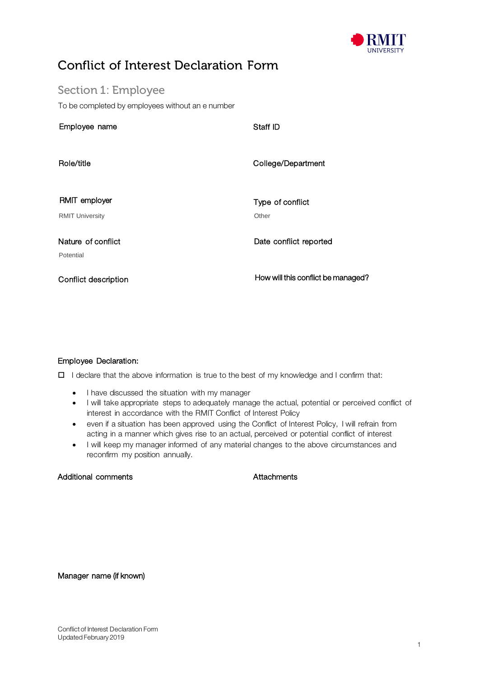

## Conflict of Interest Declaration Form

Section 1: Employee To be completed by employees without an e number

| Staff ID                           |
|------------------------------------|
| College/Department                 |
| Type of conflict<br>Other          |
| Date conflict reported             |
| How will this conflict be managed? |
|                                    |

### Employee Declaration:

 $\Box$  I declare that the above information is true to the best of my knowledge and I confirm that:

- I have discussed the situation with my manager
- I will take appropriate steps to adequately manage the actual, potential or perceived conflict of interest in accordance with the RMIT Conflict of Interest Policy
- even if a situation has been approved using the Conflict of Interest Policy, I will refrain from acting in a manner which gives rise to an actual, perceived or potential conflict of interest
- I will keep my manager informed of any material changes to the above circumstances and reconfirm my position annually.

### Additional comments **Attachments** Attachments

Manager name (if known)